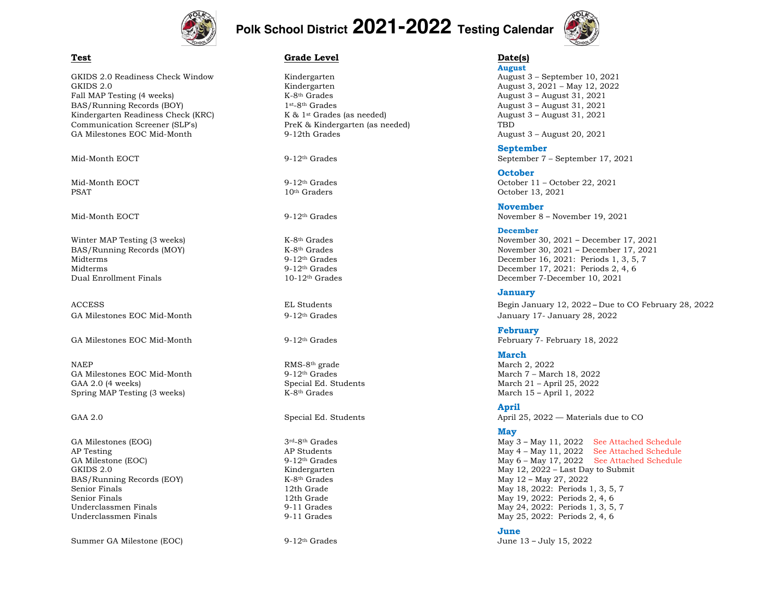

# **Polk School District 2021-2022 Testing Calendar**



GKIDS 2.0 Readiness Check Window Kindergarten **Kindergarten** August 3 – September 10, 2021 GKIDS 2.0 **Kindergarten** August 3, 2021 – May 12, 2022 Fall MAP Testing (4 weeks) K-8<sup>th</sup> Grades K-8<sup>th</sup> Grades August 3 – August 31, 2021 BAS/Running Records (BOY) 1st-8th Grades 1. 2021 Kindergarten Readiness Check (KRC) K & 1<sup>st</sup> Grades (as needed) August 3 – August 31, 2021 Communication Screener (SLP's) PreK & Kindergarten (as needed) TBD GA Milestones EOC Mid-Month 9-12th Grades August 3 – August 3 – August 20, 2021

NAEP RMS-8th grade March 2, 2022 GA Milestones EOC Mid-Month GAA 2.0 (4 weeks) Special Ed. Students March 21 – April 25, 2022 Spring MAP Testing (3 weeks) K-8<sup>th</sup> Grades K-8<sup>th</sup> Grades March 15 – April 1, 2022

BAS/Running Records (EOY) K-8<sup>th</sup> Grades May 12 – May 27, 2022

Summer GA Milestone (EOC) 9-12<sup>th</sup> Grades 9-12th Grades June 13 – July 15, 2022

#### **Test Calculate Construction Crace Level Crace Level Date Construction Crace Date (s)**

**August**

### **September**

Mid-Month EOCT 9-12<sup>th</sup> Grades September 7 – September 17, 2021

**October** Mid-Month EOCT 9-12th Grades October 11 – October 22, 2021 PSAT 10<sup>th</sup> Graders 10th Graders Cotober 13, 2021

#### **November**

Mid-Month EOCT 9-12th Grades November 8 – November 19, 2021

#### **December**

Winter MAP Testing (3 weeks) K-8<sup>th</sup> Grades K-8<sup>th</sup> Grades November 30, 2021 – December 17, 2021 BAS/Running Records (MOY)  $K-8<sup>th</sup> Grades$  (Stades November 30, 2021 – December 17, 2021 – November 17, 2021 – December 17, 2021 – November 17, 2021 – December 17, 2021 – December 17, 2021 – December 16, 2021: Periods 1, 3, Midterms 9-12th Grades December 16, 2021: Periods 1, 3, 5, 7 Midterms **9-12th Grades** 9-12th Grades **December 17, 2021: Periods 2, 4, 6** Dual Enrollment Finals 10-12th Grades December 7-December 10, 2021

#### **January**

ACCESS EL Students EL Students Begin January 12, 2022 – Due to CO February 28, 2022 GA Milestones EOC Mid-Month 9-12<sup>th</sup> Grades 9-12th Grades January 17- January 28, 2022

**February** GA Milestones EOC Mid-Month 9-12<sup>th</sup> Grades February 7- February 18, 2022

### **March**

#### **April**

GAA 2.0 Special Ed. Students April 25, 2022 — Materials due to CO

#### **May**

GA Milestones (EOG) 3rd-8th Grades 3rd-8th Grades May 3 – May 11, 2022 See Attached Schedule AP Testing and AP Students AP Students AP Students May 4 – May 11, 2022 See Attached Schedule GA Milestone (EOC) 9-12<sup>th</sup> Grades 9-12<sup>th</sup> Grades May 6 – May 17, 2022 *See Attached Schedule* GKIDS 2.0 Submit CHA CONSERVITED May 12, 2022 – Last Day to Submit Senior Finals **12th Grade** 12th Grade 12th Grade May 18, 2022: Periods 1, 3, 5, 7 Senior Finals 12th Grade 12th Grade 12th Grade May 19, 2022: Periods 2, 4, 6<br>12th Grades 12th Grades 1.3, 5, 12th Grades 1, 3, 5, 12th Grades 1, 3, 5, 12th Grades 1, 3, 5, 12th Grades 1, 3, 5, 12th Grades 1, 3, 5, 12th Gra Underclassmen Finals 9-11 Grades May 24, 2022: Periods 1, 3, 5, 7 Underclassmen Finals **9-11 Grades** 9-11 Grades May 25, 2022: Periods 2, 4, 6

#### **June**